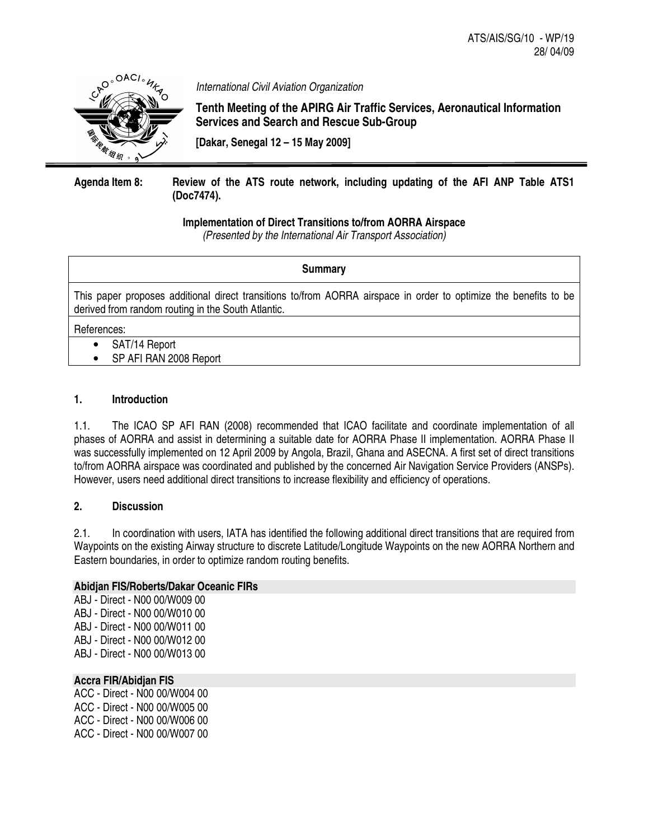

*International Civil Aviation Organization*

**Tenth Meeting of the APIRG Air Traffic Services, Aeronautical Information Services and Search and Rescue Sub-Group**

**[Dakar, Senegal 12 – 15 May 2009]**

# **Agenda Item 8: Review of the ATS route network, including updating of the AFI ANP Table ATS1 (Doc7474).**

# **Implementation of Direct Transitions to/from AORRA Airspace**

*(Presented by the International Air Transport Association)*

## **Summary**

This paper proposes additional direct transitions to/from AORRA airspace in order to optimize the benefits to be derived from random routing in the South Atlantic.

References:

- SAT/14 Report
- SP AFI RAN 2008 Report

# **1. Introduction**

1.1. The ICAO SP AFI RAN (2008) recommended that ICAO facilitate and coordinate implementation of all phases of AORRA and assist in determining a suitable date for AORRA Phase II implementation. AORRA Phase II was successfully implemented on 12 April 2009 by Angola, Brazil, Ghana and ASECNA. A first set of direct transitions to/from AORRA airspace was coordinated and published by the concerned Air Navigation Service Providers (ANSPs). However, users need additional direct transitions to increase flexibility and efficiency of operations.

# **2. Discussion**

2.1. In coordination with users, IATA has identified the following additional direct transitions that are required from Waypoints on the existing Airway structure to discrete Latitude/Longitude Waypoints on the new AORRA Northern and Eastern boundaries, in order to optimize random routing benefits.

# **Abidjan FIS/Roberts/Dakar Oceanic FIRs**

ABJ - Direct - N00 00/W009 00 ABJ - Direct - N00 00/W010 00 ABJ - Direct - N00 00/W011 00 ABJ - Direct - N00 00/W012 00 ABJ - Direct - N00 00/W013 00

# **Accra FIR/Abidjan FIS**

ACC - Direct - N00 00/W004 00 ACC - Direct - N00 00/W005 00 ACC - Direct - N00 00/W006 00 ACC - Direct - N00 00/W007 00